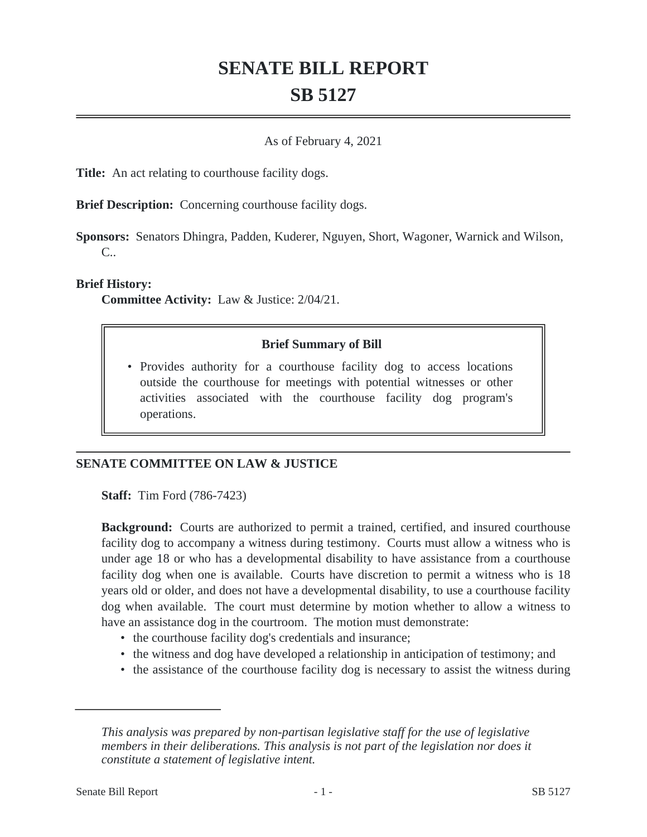# **SENATE BILL REPORT SB 5127**

### As of February 4, 2021

**Title:** An act relating to courthouse facility dogs.

**Brief Description:** Concerning courthouse facility dogs.

**Sponsors:** Senators Dhingra, Padden, Kuderer, Nguyen, Short, Wagoner, Warnick and Wilson, C..

### **Brief History:**

**Committee Activity:** Law & Justice: 2/04/21.

### **Brief Summary of Bill**

• Provides authority for a courthouse facility dog to access locations outside the courthouse for meetings with potential witnesses or other activities associated with the courthouse facility dog program's operations.

## **SENATE COMMITTEE ON LAW & JUSTICE**

**Staff:** Tim Ford (786-7423)

**Background:** Courts are authorized to permit a trained, certified, and insured courthouse facility dog to accompany a witness during testimony. Courts must allow a witness who is under age 18 or who has a developmental disability to have assistance from a courthouse facility dog when one is available. Courts have discretion to permit a witness who is 18 years old or older, and does not have a developmental disability, to use a courthouse facility dog when available. The court must determine by motion whether to allow a witness to have an assistance dog in the courtroom. The motion must demonstrate:

- the courthouse facility dog's credentials and insurance;
- the witness and dog have developed a relationship in anticipation of testimony; and
- the assistance of the courthouse facility dog is necessary to assist the witness during

*This analysis was prepared by non-partisan legislative staff for the use of legislative members in their deliberations. This analysis is not part of the legislation nor does it constitute a statement of legislative intent.*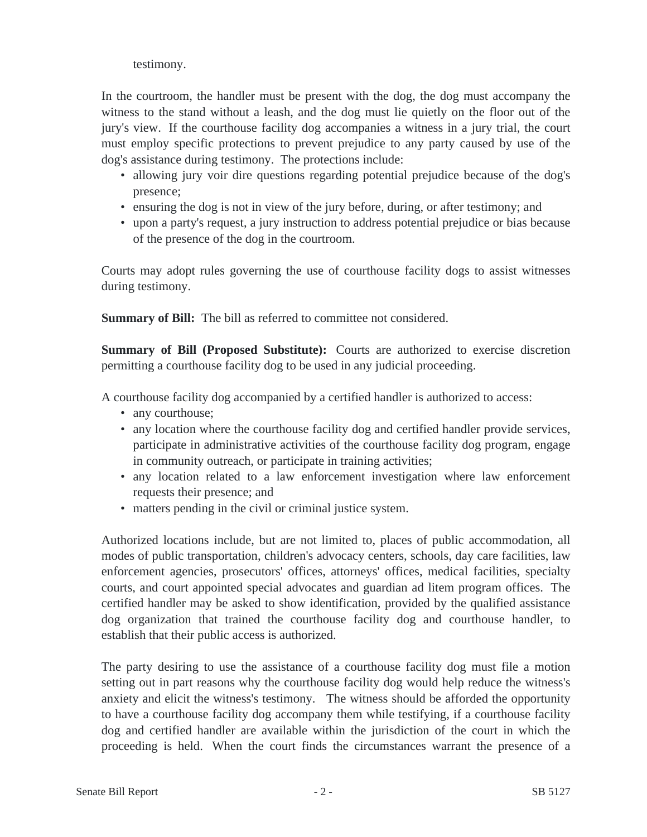testimony.

In the courtroom, the handler must be present with the dog, the dog must accompany the witness to the stand without a leash, and the dog must lie quietly on the floor out of the jury's view. If the courthouse facility dog accompanies a witness in a jury trial, the court must employ specific protections to prevent prejudice to any party caused by use of the dog's assistance during testimony. The protections include:

- allowing jury voir dire questions regarding potential prejudice because of the dog's presence;
- ensuring the dog is not in view of the jury before, during, or after testimony; and
- upon a party's request, a jury instruction to address potential prejudice or bias because of the presence of the dog in the courtroom.

Courts may adopt rules governing the use of courthouse facility dogs to assist witnesses during testimony.

**Summary of Bill:** The bill as referred to committee not considered.

**Summary of Bill (Proposed Substitute):** Courts are authorized to exercise discretion permitting a courthouse facility dog to be used in any judicial proceeding.

A courthouse facility dog accompanied by a certified handler is authorized to access:

- any courthouse;
- any location where the courthouse facility dog and certified handler provide services, participate in administrative activities of the courthouse facility dog program, engage in community outreach, or participate in training activities;
- any location related to a law enforcement investigation where law enforcement requests their presence; and
- matters pending in the civil or criminal justice system.

Authorized locations include, but are not limited to, places of public accommodation, all modes of public transportation, children's advocacy centers, schools, day care facilities, law enforcement agencies, prosecutors' offices, attorneys' offices, medical facilities, specialty courts, and court appointed special advocates and guardian ad litem program offices. The certified handler may be asked to show identification, provided by the qualified assistance dog organization that trained the courthouse facility dog and courthouse handler, to establish that their public access is authorized.

The party desiring to use the assistance of a courthouse facility dog must file a motion setting out in part reasons why the courthouse facility dog would help reduce the witness's anxiety and elicit the witness's testimony. The witness should be afforded the opportunity to have a courthouse facility dog accompany them while testifying, if a courthouse facility dog and certified handler are available within the jurisdiction of the court in which the proceeding is held. When the court finds the circumstances warrant the presence of a